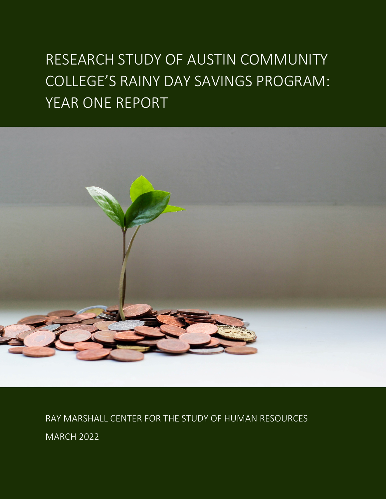## RESEARCH STUDY OF AUSTIN COMMUNITY COLLEGE'S RAINY DAY SAVINGS PROGRAM: YEAR ONE REPORT



RAY MARSHALL CENTER FOR THE STUDY OF HUMAN RESOURCES MARCH 2022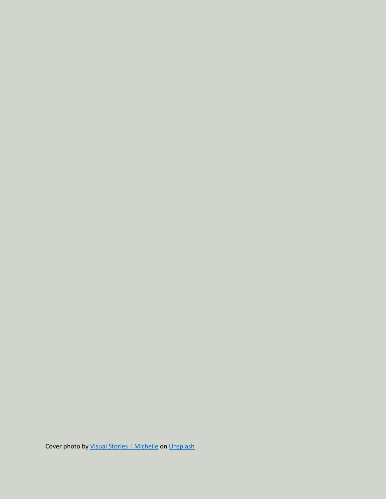Cover photo by [Visual Stories | Micheile](https://unsplash.com/@micheile?utm_source=unsplash&utm_medium=referral&utm_content=creditCopyText) on [Unsplash](https://unsplash.com/s/photos/savings?utm_source=unsplash&utm_medium=referral&utm_content=creditCopyText)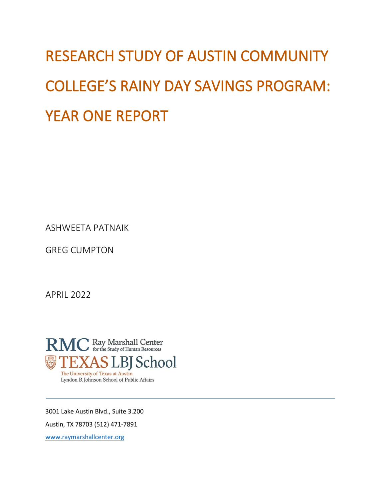# RESEARCH STUDY OF AUSTIN COMMUNITY COLLEGE'S RAINY DAY SAVINGS PROGRAM: YEAR ONE REPORT

ASHWEETA PATNAIK

GREG CUMPTON

APRIL 2022



3001 Lake Austin Blvd., Suite 3.200

Austin, TX 78703 (512) 471-7891

[www.raymarshallcenter.org](http://www.raymarshallcenter.org/)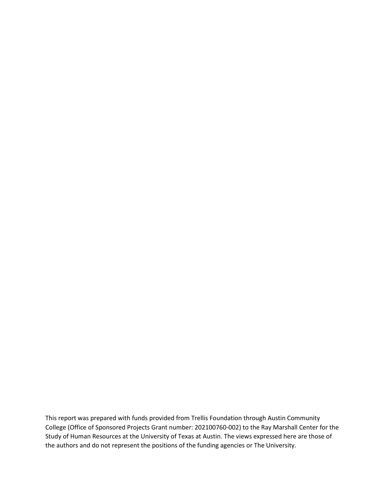This report was prepared with funds provided from Trellis Foundation through Austin Community College (Office of Sponsored Projects Grant number: 202100760-002) to the Ray Marshall Center for the Study of Human Resources at the University of Texas at Austin. The views expressed here are those of the authors and do not represent the positions of the funding agencies or The University.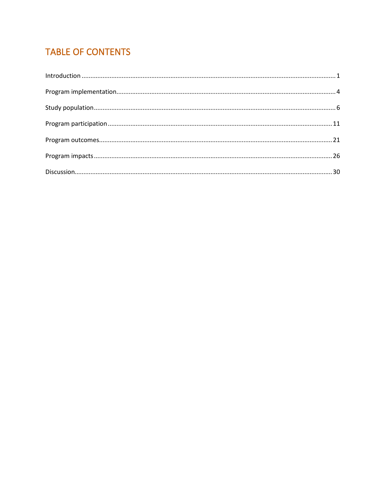## **TABLE OF CONTENTS**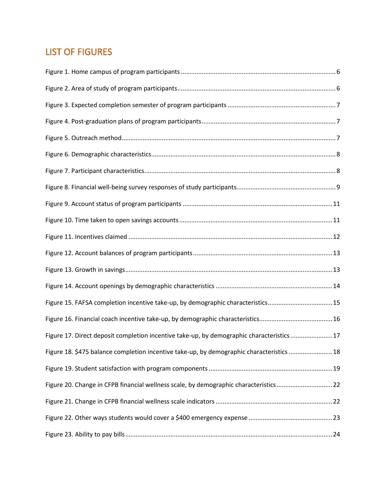## LIST OF FIGURES

| Figure 15. FAFSA completion incentive take-up, by demographic characteristics 15          |  |
|-------------------------------------------------------------------------------------------|--|
|                                                                                           |  |
| Figure 17. Direct deposit completion incentive take-up, by demographic characteristics 17 |  |
| Figure 18. \$475 balance completion incentive take-up, by demographic characteristics  18 |  |
|                                                                                           |  |
| Figure 20. Change in CFPB financial wellness scale, by demographic characteristics22      |  |
|                                                                                           |  |
|                                                                                           |  |
|                                                                                           |  |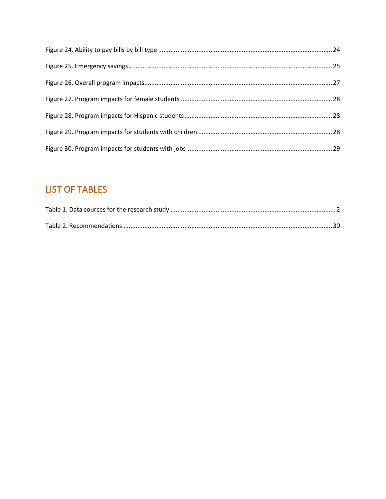## **LIST OF TABLES**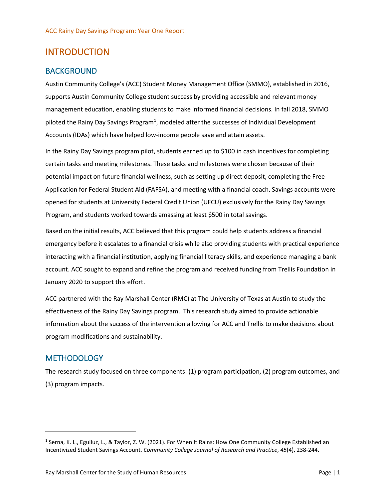## <span id="page-7-0"></span>INTRODUCTION

#### BACKGROUND

Austin Community College's (ACC) Student Money Management Office (SMMO), established in 2016, supports Austin Community College student success by providing accessible and relevant money management education, enabling students to make informed financial decisions. In fall 2018, SMMO piloted the Rainy Day Savings Program<sup>[1](#page-7-1)</sup>, modeled after the successes of Individual Development Accounts (IDAs) which have helped low-income people save and attain assets.

In the Rainy Day Savings program pilot, students earned up to \$100 in cash incentives for completing certain tasks and meeting milestones. These tasks and milestones were chosen because of their potential impact on future financial wellness, such as setting up direct deposit, completing the Free Application for Federal Student Aid (FAFSA), and meeting with a financial coach. Savings accounts were opened for students at University Federal Credit Union (UFCU) exclusively for the Rainy Day Savings Program, and students worked towards amassing at least \$500 in total savings.

Based on the initial results, ACC believed that this program could help students address a financial emergency before it escalates to a financial crisis while also providing students with practical experience interacting with a financial institution, applying financial literacy skills, and experience managing a bank account. ACC sought to expand and refine the program and received funding from Trellis Foundation in January 2020 to support this effort.

ACC partnered with the Ray Marshall Center (RMC) at The University of Texas at Austin to study the effectiveness of the Rainy Day Savings program. This research study aimed to provide actionable information about the success of the intervention allowing for ACC and Trellis to make decisions about program modifications and sustainability.

#### **METHODOLOGY**

The research study focused on three components: (1) program participation, (2) program outcomes, and (3) program impacts.

<span id="page-7-1"></span><sup>1</sup> Serna, K. L., Eguiluz, L., & Taylor, Z. W. (2021). For When It Rains: How One Community College Established an Incentivized Student Savings Account. *Community College Journal of Research and Practice*, *45*(4), 238-244.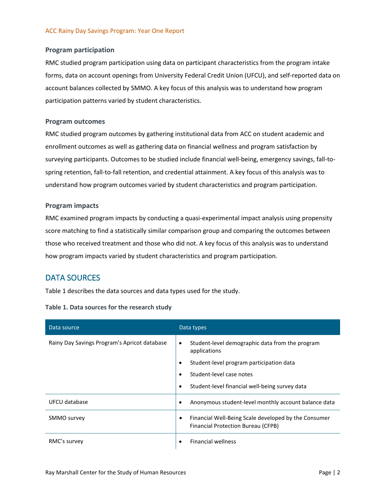#### **Program participation**

RMC studied program participation using data on participant characteristics from the program intake forms, data on account openings from University Federal Credit Union (UFCU), and self-reported data on account balances collected by SMMO. A key focus of this analysis was to understand how program participation patterns varied by student characteristics.

#### **Program outcomes**

RMC studied program outcomes by gathering institutional data from ACC on student academic and enrollment outcomes as well as gathering data on financial wellness and program satisfaction by surveying participants. Outcomes to be studied include financial well-being, emergency savings, fall-tospring retention, fall-to-fall retention, and credential attainment. A key focus of this analysis was to understand how program outcomes varied by student characteristics and program participation.

#### **Program impacts**

RMC examined program impacts by conducting a quasi-experimental impact analysis using propensity score matching to find a statistically similar comparison group and comparing the outcomes between those who received treatment and those who did not. A key focus of this analysis was to understand how program impacts varied by student characteristics and program participation.

#### DATA SOURCES

[Table 1](#page-8-0) describes the data sources and data types used for the study.

#### <span id="page-8-0"></span>**Table 1. Data sources for the research study**

| Data source                                  | Data types                                                                                      |
|----------------------------------------------|-------------------------------------------------------------------------------------------------|
| Rainy Day Savings Program's Apricot database | Student-level demographic data from the program<br>$\bullet$<br>applications                    |
|                                              | Student-level program participation data<br>$\bullet$                                           |
|                                              | Student-level case notes                                                                        |
|                                              | Student-level financial well-being survey data<br>٠                                             |
| UFCU database                                | Anonymous student-level monthly account balance data                                            |
| SMMO survey                                  | Financial Well-Being Scale developed by the Consumer<br>٠<br>Financial Protection Bureau (CFPB) |
| RMC's survey                                 | <b>Financial wellness</b><br>$\bullet$                                                          |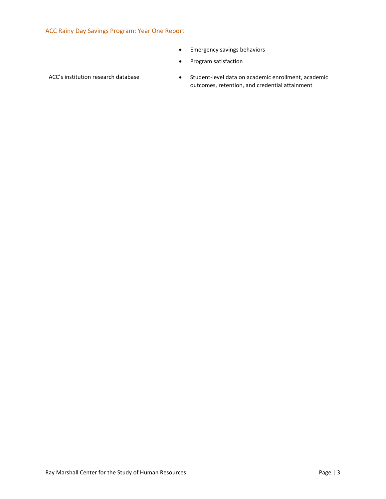|                                     | <b>Emergency savings behaviors</b> |                                                                                                       |
|-------------------------------------|------------------------------------|-------------------------------------------------------------------------------------------------------|
|                                     |                                    | Program satisfaction                                                                                  |
| ACC's institution research database |                                    | Student-level data on academic enrollment, academic<br>outcomes, retention, and credential attainment |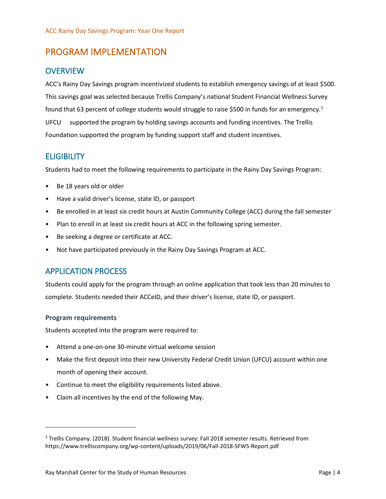## <span id="page-10-0"></span>PROGRAM IMPLEMENTATION

#### **OVERVIEW**

ACC's Rainy Day Savings program incentivized students to establish emergency savings of at least \$500. This savings goal was selected because Trellis Company's national Student Financial Wellness Survey found that 63 percent of college students would struggle to raise \$500 in funds for an emergency.<sup>[2](#page-10-1)</sup> UFCU supported the program by holding savings accounts and funding incentives. The Trellis Foundation supported the program by funding support staff and student incentives.

### **ELIGIBILITY**

Students had to meet the following requirements to participate in the Rainy Day Savings Program:

- Be 18 years old or older
- Have a valid driver's license, state ID, or passport
- Be enrolled in at least six credit hours at Austin Community College (ACC) during the fall semester
- Plan to enroll in at least six credit hours at ACC in the following spring semester.
- Be seeking a degree or certificate at ACC.
- Not have participated previously in the Rainy Day Savings Program at ACC.

## APPLICATION PROCESS

Students could apply for the program through an online application that took less than 20 minutes to complete. Students needed their ACCeID, and their driver's license, state ID, or passport.

#### **Program requirements**

Students accepted into the program were required to:

- Attend a one-on-one 30-minute virtual welcome session
- Make the first deposit into their new University Federal Credit Union (UFCU) account within one month of opening their account.
- Continue to meet the eligibility requirements listed above.
- Claim all incentives by the end of the following May.

<span id="page-10-1"></span><sup>2</sup> Trellis Company. (2018). Student financial wellness survey: Fall 2018 semester results. Retrieved from https://www.trelliscompany.org/wp-content/uploads/2019/06/Fall-2018-SFWS-Report.pdf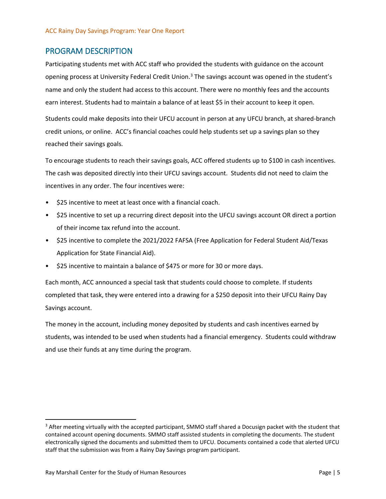#### PROGRAM DESCRIPTION

Participating students met with ACC staff who provided the students with guidance on the account opening process at University Federal Credit Union. $3$  The savings account was opened in the student's name and only the student had access to this account. There were no monthly fees and the accounts earn interest. Students had to maintain a balance of at least \$5 in their account to keep it open.

Students could make deposits into their UFCU account in person at any UFCU branch, at shared-branch credit unions, or online. ACC's financial coaches could help students set up a savings plan so they reached their savings goals.

To encourage students to reach their savings goals, ACC offered students up to \$100 in cash incentives. The cash was deposited directly into their UFCU savings account. Students did not need to claim the incentives in any order. The four incentives were:

- \$25 incentive to meet at least once with a financial coach.
- \$25 incentive to set up a recurring direct deposit into the UFCU savings account OR direct a portion of their income tax refund into the account.
- \$25 incentive to complete the 2021/2022 FAFSA (Free Application for Federal Student Aid/Texas Application for State Financial Aid).
- \$25 incentive to maintain a balance of \$475 or more for 30 or more days.

Each month, ACC announced a special task that students could choose to complete. If students completed that task, they were entered into a drawing for a \$250 deposit into their UFCU Rainy Day Savings account.

The money in the account, including money deposited by students and cash incentives earned by students, was intended to be used when students had a financial emergency. Students could withdraw and use their funds at any time during the program.

<span id="page-11-0"></span><sup>&</sup>lt;sup>3</sup> After meeting virtually with the accepted participant, SMMO staff shared a Docusign packet with the student that contained account opening documents. SMMO staff assisted students in completing the documents. The student electronically signed the documents and submitted them to UFCU. Documents contained a code that alerted UFCU staff that the submission was from a Rainy Day Savings program participant.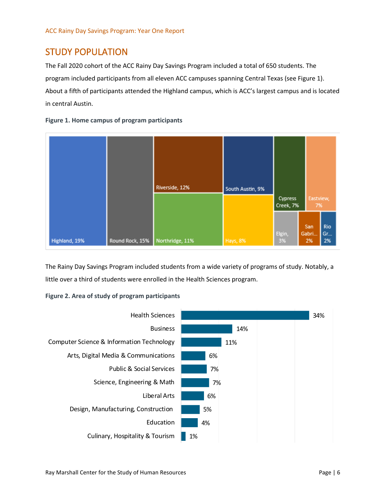## <span id="page-12-0"></span>STUDY POPULATION

The Fall 2020 cohort of the ACC Rainy Day Savings Program included a total of 650 students. The program included participants from all eleven ACC campuses spanning Central Texas (see [Figure 1\)](#page-12-1). About a fifth of participants attended the Highland campus, which is ACC's largest campus and is located in central Austin.

<span id="page-12-1"></span>



The Rainy Day Savings Program included students from a wide variety of programs of study. Notably, a little over a third of students were enrolled in the Health Sciences program.

#### <span id="page-12-2"></span>**Figure 2. Area of study of program participants**

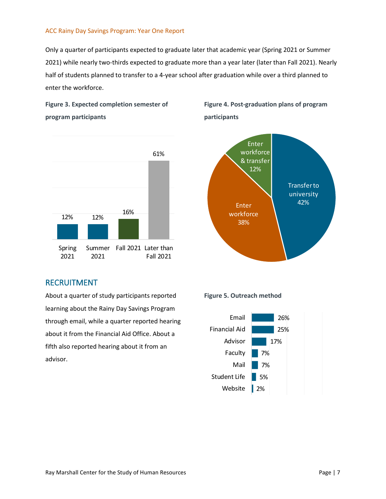Only a quarter of participants expected to graduate later that academic year (Spring 2021 or Summer 2021) while nearly two-thirds expected to graduate more than a year later (later than Fall 2021). Nearly half of students planned to transfer to a 4-year school after graduation while over a third planned to enter the workforce.

<span id="page-13-0"></span>



## RECRUITMENT

About a quarter of study participants reported learning about the Rainy Day Savings Program through email, while a quarter reported hearing about it from the Financial Aid Office. About a fifth also reported hearing about it from an advisor.

<span id="page-13-1"></span>**Figure 4. Post-graduation plans of program participants**



<span id="page-13-2"></span>**Figure 5. Outreach method** 

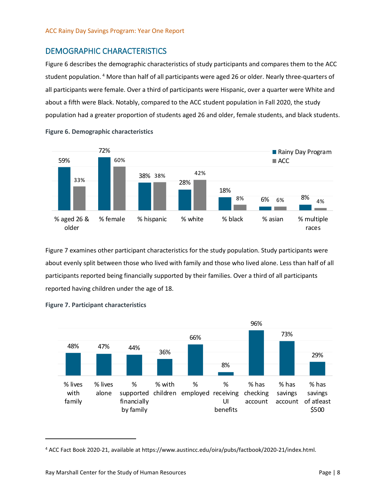## DEMOGRAPHIC CHARACTERISTICS

[Figure 6](#page-14-0) describes the demographic characteristics of study participants and compares them to the ACC student population. [4](#page-14-2) More than half of all participants were aged 26 or older. Nearly three-quarters of all participants were female. Over a third of participants were Hispanic, over a quarter were White and about a fifth were Black. Notably, compared to the ACC student population in Fall 2020, the study population had a greater proportion of students aged 26 and older, female students, and black students.



<span id="page-14-0"></span>**Figure 6. Demographic characteristics** 

[Figure 7](#page-14-1) examines other participant characteristics for the study population. Study participants were about evenly split between those who lived with family and those who lived alone. Less than half of all participants reported being financially supported by their families. Over a third of all participants reported having children under the age of 18.



#### <span id="page-14-1"></span>**Figure 7. Participant characteristics**

<span id="page-14-2"></span><sup>4</sup> ACC Fact Book 2020-21, available at https://www.austincc.edu/oira/pubs/factbook/2020-21/index.html.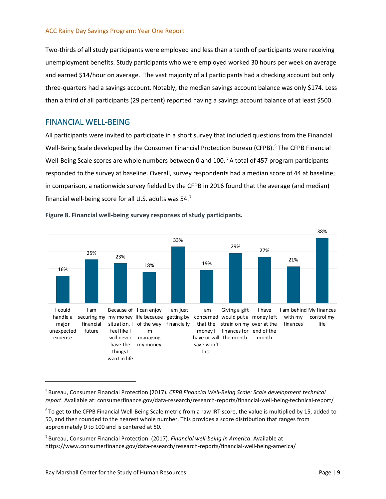Two-thirds of all study participants were employed and less than a tenth of participants were receiving unemployment benefits. Study participants who were employed worked 30 hours per week on average and earned \$14/hour on average. The vast majority of all participants had a checking account but only three-quarters had a savings account. Notably, the median savings account balance was only \$174. Less than a third of all participants (29 percent) reported having a savings account balance of at least \$500.

#### FINANCIAL WELL-BEING

All participants were invited to participate in a short survey that included questions from the Financial Well-Being Scale developed by the Consumer Financial Protection Bureau (CFPB).<sup>[5](#page-15-1)</sup> The CFPB Financial Well-Being Scale scores are whole numbers between 0 and 100.<sup>[6](#page-15-2)</sup> A total of 457 program participants responded to the survey at baseline. Overall, survey respondents had a median score of 44 at baseline; in comparison, a nationwide survey fielded by the CFPB in 2016 found that the average (and median) financial well-being score for all U.S. adults was 54. $^7$  $^7$ 



<span id="page-15-0"></span>**Figure 8. Financial well-being survey responses of study participants.**

<span id="page-15-1"></span><sup>5</sup> Bureau, Consumer Financial Protection (2017)*. CFPB Financial Well-Being Scale: Scale development technical report*. Available at: consumerfinance.gov/data-research/research-reports/financial-well-being-technical-report/

<span id="page-15-2"></span> $6$  To get to the CFPB Financial Well-Being Scale metric from a raw IRT score, the value is multiplied by 15, added to 50, and then rounded to the nearest whole number. This provides a score distribution that ranges from approximately 0 to 100 and is centered at 50.

<span id="page-15-3"></span><sup>7</sup> Bureau, Consumer Financial Protection. (2017). *Financial well-being in America*. Available at https://www.consumerfinance.gov/data-research/research-reports/financial-well-being-america/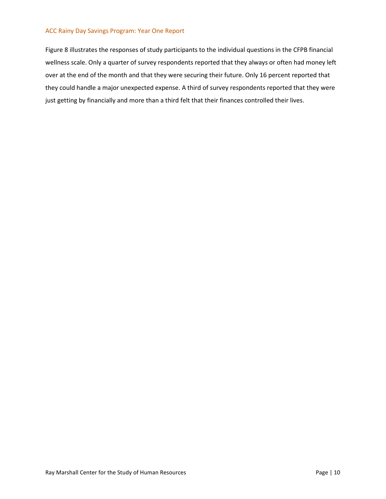[Figure 8](#page-15-0) illustrates the responses of study participants to the individual questions in the CFPB financial wellness scale. Only a quarter of survey respondents reported that they always or often had money left over at the end of the month and that they were securing their future. Only 16 percent reported that they could handle a major unexpected expense. A third of survey respondents reported that they were just getting by financially and more than a third felt that their finances controlled their lives.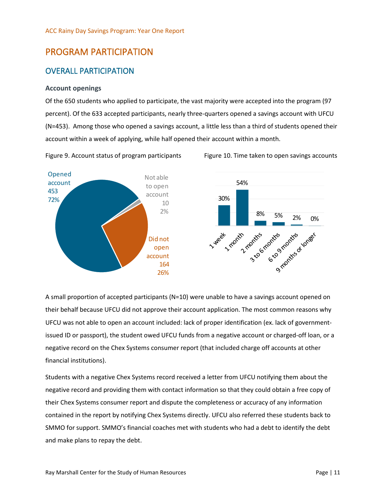## <span id="page-17-0"></span>PROGRAM PARTICIPATION

## OVERALL PARTICIPATION

#### **Account openings**

Of the 650 students who applied to participate, the vast majority were accepted into the program (97 percent). Of the 633 accepted participants, nearly three-quarters opened a savings account with UFCU (N=453). Among those who opened a savings account, a little less than a third of students opened their account within a week of applying, while half opened their account within a month.

<span id="page-17-1"></span>Figure 9. Account status of program participants Figure 10. Time taken to open savings accounts

<span id="page-17-2"></span>



A small proportion of accepted participants (N=10) were unable to have a savings account opened on their behalf because UFCU did not approve their account application. The most common reasons why UFCU was not able to open an account included: lack of proper identification (ex. lack of governmentissued ID or passport), the student owed UFCU funds from a negative account or charged-off loan, or a negative record on the Chex Systems consumer report (that included charge off accounts at other financial institutions).

Students with a negative Chex Systems record received a letter from UFCU notifying them about the negative record and providing them with contact information so that they could obtain a free copy of their Chex Systems consumer report and dispute the completeness or accuracy of any information contained in the report by notifying Chex Systems directly. UFCU also referred these students back to SMMO for support. SMMO's financial coaches met with students who had a debt to identify the debt and make plans to repay the debt.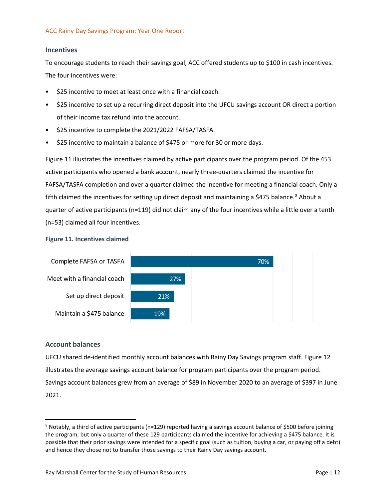#### **Incentives**

To encourage students to reach their savings goal, ACC offered students up to \$100 in cash incentives. The four incentives were:

- \$25 incentive to meet at least once with a financial coach.
- \$25 incentive to set up a recurring direct deposit into the UFCU savings account OR direct a portion of their income tax refund into the account.
- \$25 incentive to complete the 2021/2022 FAFSA/TASFA.
- \$25 incentive to maintain a balance of \$475 or more for 30 or more days.

[Figure 11](#page-18-0) illustrates the incentives claimed by active participants over the program period. Of the 453 active participants who opened a bank account, nearly three-quarters claimed the incentive for FAFSA/TASFA completion and over a quarter claimed the incentive for meeting a financial coach. Only a fifth claimed the incentives for setting up direct deposit and maintaining a \$475 balance.<sup>[8](#page-18-1)</sup> About a quarter of active participants (n=119) did not claim any of the four incentives while a little over a tenth (n=53) claimed all four incentives.

#### <span id="page-18-0"></span>**Figure 11. Incentives claimed**



#### **Account balances**

UFCU shared de-identified monthly account balances with Rainy Day Savings program staff[. Figure 12](#page-19-0) illustrates the average savings account balance for program participants over the program period. Savings account balances grew from an average of \$89 in November 2020 to an average of \$397 in June 2021.

<span id="page-18-1"></span><sup>8</sup> Notably, a third of active participants (n=129) reported having a savings account balance of \$500 before joining the program, but only a quarter of these 129 participants claimed the incentive for achieving a \$475 balance. It is possible that their prior savings were intended for a specific goal (such as tuition, buying a car, or paying off a debt) and hence they chose not to transfer those savings to their Rainy Day savings account.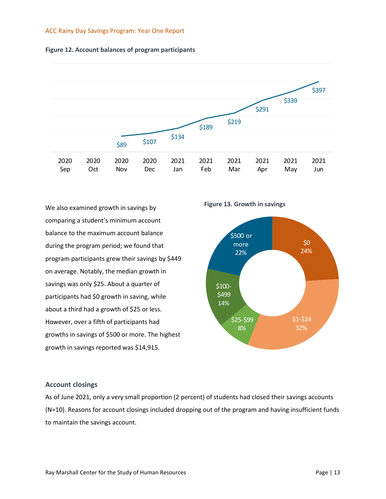<span id="page-19-0"></span>



We also examined growth in savings by comparing a student's minimum account balance to the maximum account balance during the program period; we found that program participants grew their savings by \$449 on average. Notably, the median growth in savings was only \$25. About a quarter of participants had \$0 growth in saving, while about a third had a growth of \$25 or less. However, over a fifth of participants had growths in savings of \$500 or more. The highest growth in savings reported was \$14,915.

<span id="page-19-1"></span>**Figure 13. Growth in savings**



#### **Account closings**

As of June 2021, only a very small proportion (2 percent) of students had closed their savings accounts (N=10). Reasons for account closings included dropping out of the program and having insufficient funds to maintain the savings account.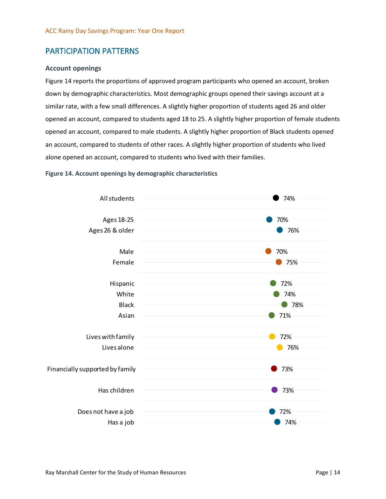## PARTICIPATION PATTERNS

#### **Account openings**

[Figure 14](#page-20-0) reports the proportions of approved program participants who opened an account, broken down by demographic characteristics. Most demographic groups opened their savings account at a similar rate, with a few small differences. A slightly higher proportion of students aged 26 and older opened an account, compared to students aged 18 to 25. A slightly higher proportion of female students opened an account, compared to male students. A slightly higher proportion of Black students opened an account, compared to students of other races. A slightly higher proportion of students who lived alone opened an account, compared to students who lived with their families.

<span id="page-20-0"></span>

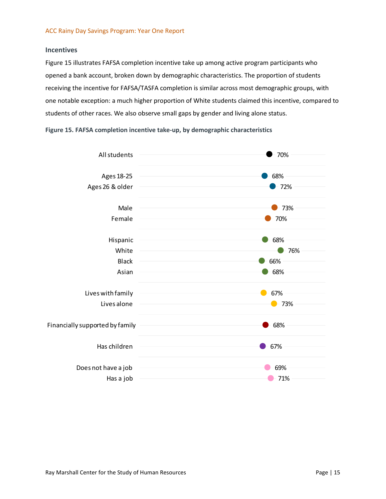#### **Incentives**

[Figure 15](#page-21-0) illustrates FAFSA completion incentive take up among active program participants who opened a bank account, broken down by demographic characteristics. The proportion of students receiving the incentive for FAFSA/TASFA completion is similar across most demographic groups, with one notable exception: a much higher proportion of White students claimed this incentive, compared to students of other races. We also observe small gaps by gender and living alone status.

<span id="page-21-0"></span>**Figure 15. FAFSA completion incentive take-up, by demographic characteristics** 

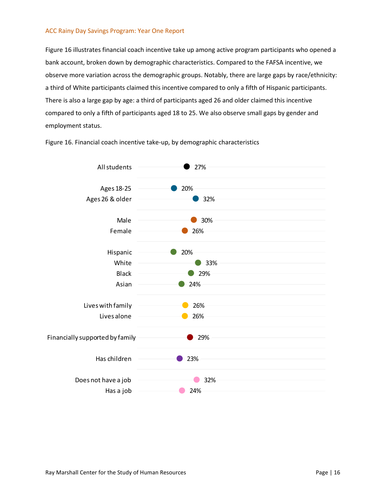[Figure 16](#page-22-0) illustrates financial coach incentive take up among active program participants who opened a bank account, broken down by demographic characteristics. Compared to the FAFSA incentive, we observe more variation across the demographic groups. Notably, there are large gaps by race/ethnicity: a third of White participants claimed this incentive compared to only a fifth of Hispanic participants. There is also a large gap by age: a third of participants aged 26 and older claimed this incentive compared to only a fifth of participants aged 18 to 25. We also observe small gaps by gender and employment status.



<span id="page-22-0"></span>Figure 16. Financial coach incentive take-up, by demographic characteristics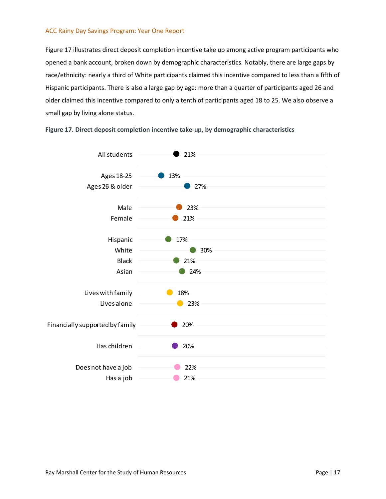[Figure 17](#page-23-0) illustrates direct deposit completion incentive take up among active program participants who opened a bank account, broken down by demographic characteristics. Notably, there are large gaps by race/ethnicity: nearly a third of White participants claimed this incentive compared to less than a fifth of Hispanic participants. There is also a large gap by age: more than a quarter of participants aged 26 and older claimed this incentive compared to only a tenth of participants aged 18 to 25. We also observe a small gap by living alone status.



 $\bullet$  21%

<span id="page-23-0"></span>**Figure 17. Direct deposit completion incentive take-up, by demographic characteristics**

Has a job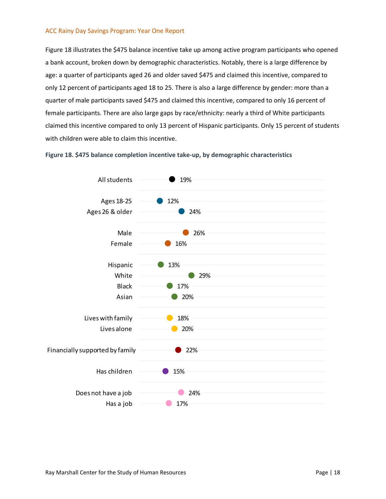[Figure 18](#page-24-0) illustrates the \$475 balance incentive take up among active program participants who opened a bank account, broken down by demographic characteristics. Notably, there is a large difference by age: a quarter of participants aged 26 and older saved \$475 and claimed this incentive, compared to only 12 percent of participants aged 18 to 25. There is also a large difference by gender: more than a quarter of male participants saved \$475 and claimed this incentive, compared to only 16 percent of female participants. There are also large gaps by race/ethnicity: nearly a third of White participants claimed this incentive compared to only 13 percent of Hispanic participants. Only 15 percent of students with children were able to claim this incentive.

<span id="page-24-0"></span>**Figure 18. \$475 balance completion incentive take-up, by demographic characteristics** 

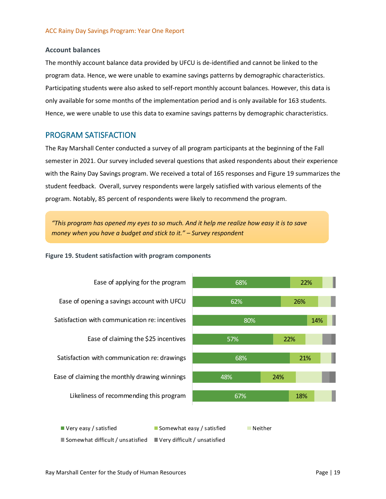#### **Account balances**

The monthly account balance data provided by UFCU is de-identified and cannot be linked to the program data. Hence, we were unable to examine savings patterns by demographic characteristics. Participating students were also asked to self-report monthly account balances. However, this data is only available for some months of the implementation period and is only available for 163 students. Hence, we were unable to use this data to examine savings patterns by demographic characteristics.

#### PROGRAM SATISFACTION

The Ray Marshall Center conducted a survey of all program participants at the beginning of the Fall semester in 2021. Our survey included several questions that asked respondents about their experience with the Rainy Day Savings program. We received a total of 165 responses and [Figure 19](#page-25-0) summarizes the student feedback. Overall, survey respondents were largely satisfied with various elements of the program. Notably, 85 percent of respondents were likely to recommend the program.

*"This program has opened my eyes to so much. And it help me realize how easy it is to save money when you have a budget and stick to it." – Survey respondent*

<span id="page-25-0"></span>**Figure 19. Student satisfaction with program components**

Ease of applying for the program Ease of opening a savings account with UFCU Satisfaction with communication re: incentives Ease of claiming the \$25 incentives Satisfaction with communication re: drawings Ease of claiming the monthly drawing winnings Likeliness of recommending this program



■ Very easy / satisfied Somewhat easy / satisfied Neither

 $\blacksquare$  Somewhat difficult / unsatisfied  $\blacksquare$  Very difficult / unsatisfied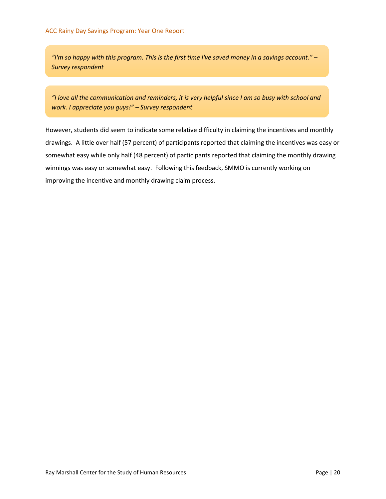*"I'm so happy with this program. This is the first time I've saved money in a savings account." – Survey respondent*

*"I love all the communication and reminders, it is very helpful since I am so busy with school and work. I appreciate you guys!" – Survey respondent*

However, students did seem to indicate some relative difficulty in claiming the incentives and monthly drawings. A little over half (57 percent) of participants reported that claiming the incentives was easy or somewhat easy while only half (48 percent) of participants reported that claiming the monthly drawing winnings was easy or somewhat easy. Following this feedback, SMMO is currently working on improving the incentive and monthly drawing claim process.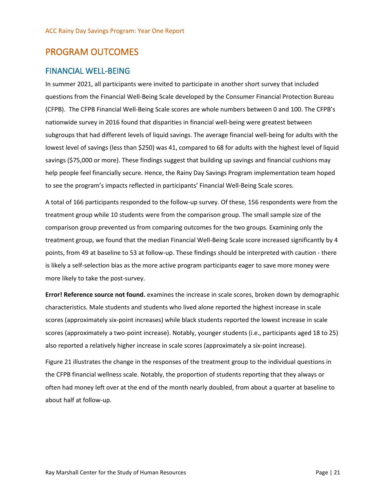## <span id="page-27-0"></span>PROGRAM OUTCOMES

#### FINANCIAL WELL-BEING

In summer 2021, all participants were invited to participate in another short survey that included questions from the Financial Well-Being Scale developed by the Consumer Financial Protection Bureau (CFPB). The CFPB Financial Well-Being Scale scores are whole numbers between 0 and 100. The CFPB's nationwide survey in 2016 found that disparities in financial well-being were greatest between subgroups that had different levels of liquid savings. The average financial well-being for adults with the lowest level of savings (less than \$250) was 41, compared to 68 for adults with the highest level of liquid savings (\$75,000 or more). These findings suggest that building up savings and financial cushions may help people feel financially secure. Hence, the Rainy Day Savings Program implementation team hoped to see the program's impacts reflected in participants' Financial Well-Being Scale scores.

A total of 166 participants responded to the follow-up survey. Of these, 156 respondents were from the treatment group while 10 students were from the comparison group. The small sample size of the comparison group prevented us from comparing outcomes for the two groups. Examining only the treatment group, we found that the median Financial Well-Being Scale score increased significantly by 4 points, from 49 at baseline to 53 at follow-up. These findings should be interpreted with caution - there is likely a self-selection bias as the more active program participants eager to save more money were more likely to take the post-survey.

**Error! Reference source not found.** examines the increase in scale scores, broken down by demographic characteristics. Male students and students who lived alone reported the highest increase in scale scores (approximately six-point increases) while black students reported the lowest increase in scale scores (approximately a two-point increase). Notably, younger students (i.e., participants aged 18 to 25) also reported a relatively higher increase in scale scores (approximately a six-point increase).

[Figure 21](#page-28-1) illustrates the change in the responses of the treatment group to the individual questions in the CFPB financial wellness scale. Notably, the proportion of students reporting that they always or often had money left over at the end of the month nearly doubled, from about a quarter at baseline to about half at follow-up.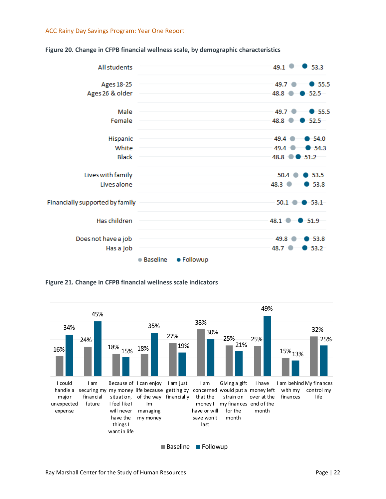

#### <span id="page-28-0"></span>**Figure 20. Change in CFPB financial wellness scale, by demographic characteristics**

<span id="page-28-1"></span>**Figure 21. Change in CFPB financial wellness scale indicators**



Baseline Followup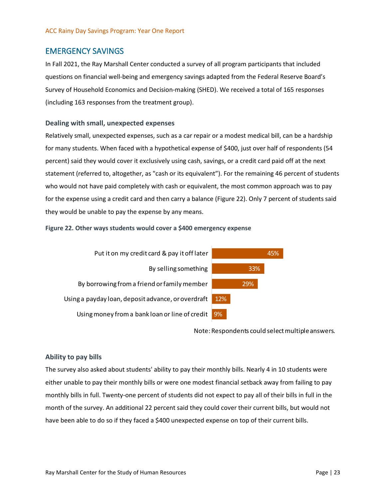#### EMERGENCY SAVINGS

In Fall 2021, the Ray Marshall Center conducted a survey of all program participants that included questions on financial well-being and emergency savings adapted from the Federal Reserve Board's Survey of Household Economics and Decision-making (SHED). We received a total of 165 responses (including 163 responses from the treatment group).

#### **Dealing with small, unexpected expenses**

Relatively small, unexpected expenses, such as a car repair or a modest medical bill, can be a hardship for many students. When faced with a hypothetical expense of \$400, just over half of respondents (54 percent) said they would cover it exclusively using cash, savings, or a credit card paid off at the next statement (referred to, altogether, as "cash or its equivalent"). For the remaining 46 percent of students who would not have paid completely with cash or equivalent, the most common approach was to pay for the expense using a credit card and then carry a balance [\(Figure 22\)](#page-29-0). Only 7 percent of students said they would be unable to pay the expense by any means.

#### <span id="page-29-0"></span>**Figure 22. Other ways students would cover a \$400 emergency expense**



Note: Respondents could select multiple answers.

#### **Ability to pay bills**

The survey also asked about students' ability to pay their monthly bills. Nearly 4 in 10 students were either unable to pay their monthly bills or were one modest financial setback away from failing to pay monthly bills in full. Twenty-one percent of students did not expect to pay all of their bills in full in the month of the survey. An additional 22 percent said they could cover their current bills, but would not have been able to do so if they faced a \$400 unexpected expense on top of their current bills.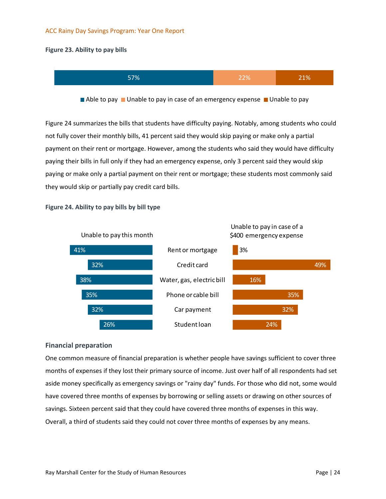#### <span id="page-30-0"></span>**Figure 23. Ability to pay bills**



Able to pay  $\blacksquare$  Unable to pay in case of an emergency expense  $\blacksquare$  Unable to pay

[Figure 24](#page-30-1) summarizes the bills that students have difficulty paying. Notably, among students who could not fully cover their monthly bills, 41 percent said they would skip paying or make only a partial payment on their rent or mortgage. However, among the students who said they would have difficulty paying their bills in full only if they had an emergency expense, only 3 percent said they would skip paying or make only a partial payment on their rent or mortgage; these students most commonly said they would skip or partially pay credit card bills.

<span id="page-30-1"></span>



#### **Financial preparation**

One common measure of financial preparation is whether people have savings sufficient to cover three months of expenses if they lost their primary source of income. Just over half of all respondents had set aside money specifically as emergency savings or "rainy day" funds. For those who did not, some would have covered three months of expenses by borrowing or selling assets or drawing on other sources of savings. Sixteen percent said that they could have covered three months of expenses in this way. Overall, a third of students said they could not cover three months of expenses by any means.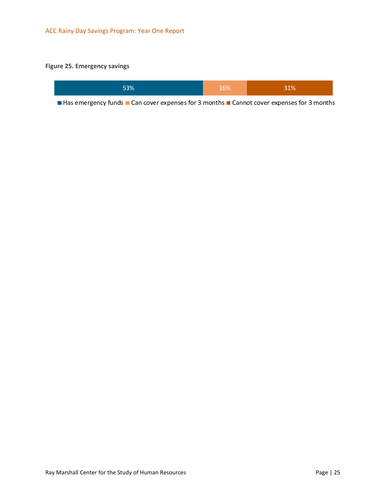#### <span id="page-31-0"></span>**Figure 25. Emergency savings**

| 53% | 16% | 31% |
|-----|-----|-----|
|-----|-----|-----|

 $\blacksquare$  Has emergency funds  $\blacksquare$  Can cover expenses for 3 months  $\blacksquare$  Cannot cover expenses for 3 months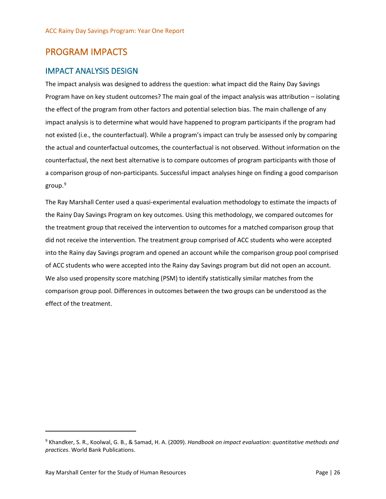## <span id="page-32-0"></span>PROGRAM IMPACTS

### IMPACT ANALYSIS DESIGN

The impact analysis was designed to address the question: what impact did the Rainy Day Savings Program have on key student outcomes? The main goal of the impact analysis was attribution – isolating the effect of the program from other factors and potential selection bias. The main challenge of any impact analysis is to determine what would have happened to program participants if the program had not existed (i.e., the counterfactual). While a program's impact can truly be assessed only by comparing the actual and counterfactual outcomes, the counterfactual is not observed. Without information on the counterfactual, the next best alternative is to compare outcomes of program participants with those of a comparison group of non-participants. Successful impact analyses hinge on finding a good comparison group. [9](#page-32-1)

The Ray Marshall Center used a quasi-experimental evaluation methodology to estimate the impacts of the Rainy Day Savings Program on key outcomes. Using this methodology, we compared outcomes for the treatment group that received the intervention to outcomes for a matched comparison group that did not receive the intervention. The treatment group comprised of ACC students who were accepted into the Rainy day Savings program and opened an account while the comparison group pool comprised of ACC students who were accepted into the Rainy day Savings program but did not open an account. We also used propensity score matching (PSM) to identify statistically similar matches from the comparison group pool. Differences in outcomes between the two groups can be understood as the effect of the treatment.

<span id="page-32-1"></span><sup>9</sup> Khandker, S. R., Koolwal, G. B., & Samad, H. A. (2009). *Handbook on impact evaluation: quantitative methods and practices*. World Bank Publications.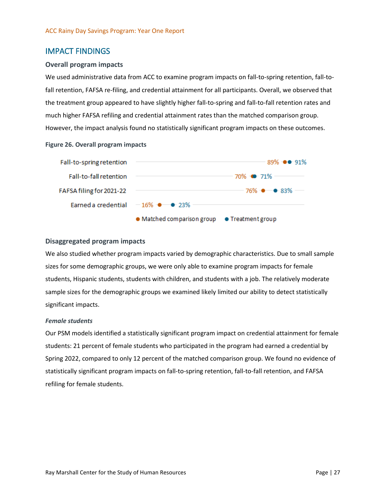#### IMPACT FINDINGS

#### **Overall program impacts**

We used administrative data from ACC to examine program impacts on fall-to-spring retention, fall-tofall retention, FAFSA re-filing, and credential attainment for all participants. Overall, we observed that the treatment group appeared to have slightly higher fall-to-spring and fall-to-fall retention rates and much higher FAFSA refiling and credential attainment rates than the matched comparison group. However, the impact analysis found no statistically significant program impacts on these outcomes.

#### <span id="page-33-0"></span>**Figure 26. Overall program impacts**



#### **Disaggregated program impacts**

We also studied whether program impacts varied by demographic characteristics. Due to small sample sizes for some demographic groups, we were only able to examine program impacts for female students, Hispanic students, students with children, and students with a job. The relatively moderate sample sizes for the demographic groups we examined likely limited our ability to detect statistically significant impacts.

#### *Female students*

Our PSM models identified a statistically significant program impact on credential attainment for female students: 21 percent of female students who participated in the program had earned a credential by Spring 2022, compared to only 12 percent of the matched comparison group. We found no evidence of statistically significant program impacts on fall-to-spring retention, fall-to-fall retention, and FAFSA refiling for female students.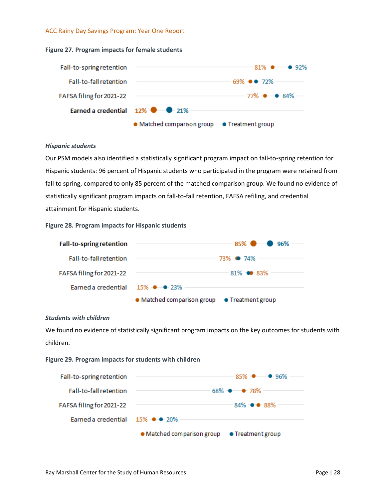<span id="page-34-0"></span>



#### *Hispanic students*

Our PSM models also identified a statistically significant program impact on fall-to-spring retention for Hispanic students: 96 percent of Hispanic students who participated in the program were retained from fall to spring, compared to only 85 percent of the matched comparison group. We found no evidence of statistically significant program impacts on fall-to-fall retention, FAFSA refiling, and credential attainment for Hispanic students.

#### <span id="page-34-1"></span>**Figure 28. Program impacts for Hispanic students**



#### *Students with children*

We found no evidence of statistically significant program impacts on the key outcomes for students with children.

#### <span id="page-34-2"></span>**Figure 29. Program impacts for students with children**

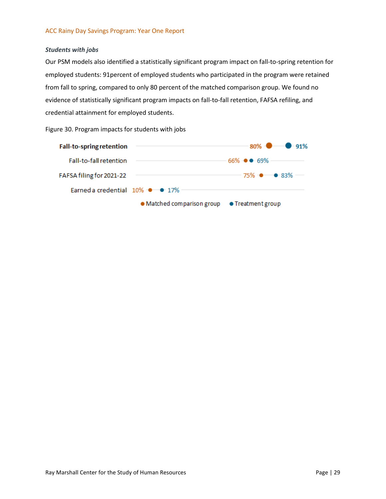#### *Students with jobs*

Our PSM models also identified a statistically significant program impact on fall-to-spring retention for employed students: 91percent of employed students who participated in the program were retained from fall to spring, compared to only 80 percent of the matched comparison group. We found no evidence of statistically significant program impacts on fall-to-fall retention, FAFSA refiling, and credential attainment for employed students.

<span id="page-35-0"></span>Figure 30. Program impacts for students with jobs

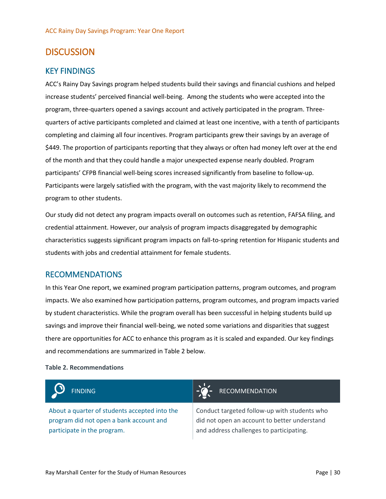## <span id="page-36-0"></span>**DISCUSSION**

#### KEY FINDINGS

ACC's Rainy Day Savings program helped students build their savings and financial cushions and helped increase students' perceived financial well-being. Among the students who were accepted into the program, three-quarters opened a savings account and actively participated in the program. Threequarters of active participants completed and claimed at least one incentive, with a tenth of participants completing and claiming all four incentives. Program participants grew their savings by an average of \$449. The proportion of participants reporting that they always or often had money left over at the end of the month and that they could handle a major unexpected expense nearly doubled. Program participants' CFPB financial well-being scores increased significantly from baseline to follow-up. Participants were largely satisfied with the program, with the vast majority likely to recommend the program to other students.

Our study did not detect any program impacts overall on outcomes such as retention, FAFSA filing, and credential attainment. However, our analysis of program impacts disaggregated by demographic characteristics suggests significant program impacts on fall-to-spring retention for Hispanic students and students with jobs and credential attainment for female students.

#### RECOMMENDATIONS

In this Year One report, we examined program participation patterns, program outcomes, and program impacts. We also examined how participation patterns, program outcomes, and program impacts varied by student characteristics. While the program overall has been successful in helping students build up savings and improve their financial well-being, we noted some variations and disparities that suggest there are opportunities for ACC to enhance this program as it is scaled and expanded. Our key findings and recommendations are summarized in [Table 2](#page-36-1) below.

#### <span id="page-36-1"></span>**Table 2. Recommendations**



About a quarter of students accepted into the program did not open a bank account and participate in the program.

#### FINDING **FINDING FINDING RECOMMENDATION**

Conduct targeted follow-up with students who did not open an account to better understand and address challenges to participating.